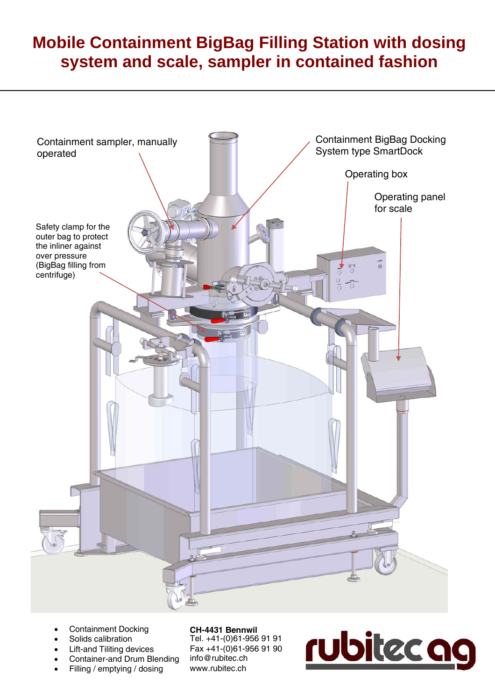# **Mobile Containment BigBag Filling Station with dosing system and scale, sampler in contained fashion**



- Containment Docking
- Solids calibration
- Lift-and Tiliting devices
- Container-and Drum Blending
- Filling / emptying / dosing

**CH-4431 Bennwil**  Tel. +41-(0)61-956 91 91 Fax +41-(0)61-956 91 90 info@rubitec.ch www.rubitec.ch

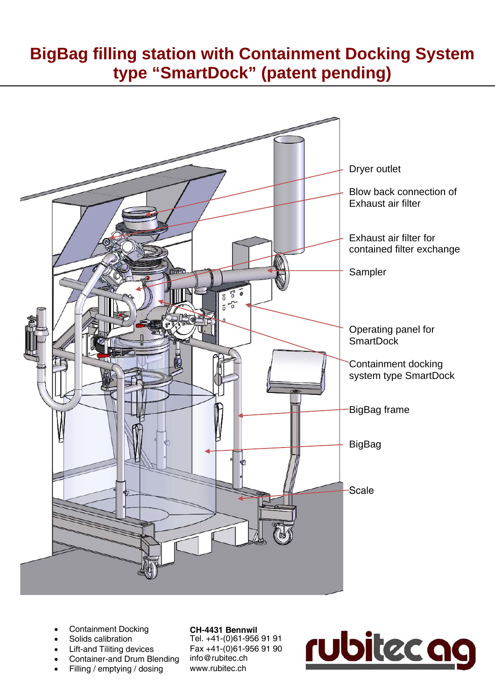## **BigBag filling station with Containment Docking System type "SmartDock" (patent pending)**



- Containment Docking
- Solids calibration
- Lift-and Tiliting devices
- Container-and Drum Blending
- Filling / emptying / dosing

**CH-4431 Bennwil**  Tel. +41-(0)61-956 91 91 Fax +41-(0)61-956 91 90 info@rubitec.ch www.rubitec.ch

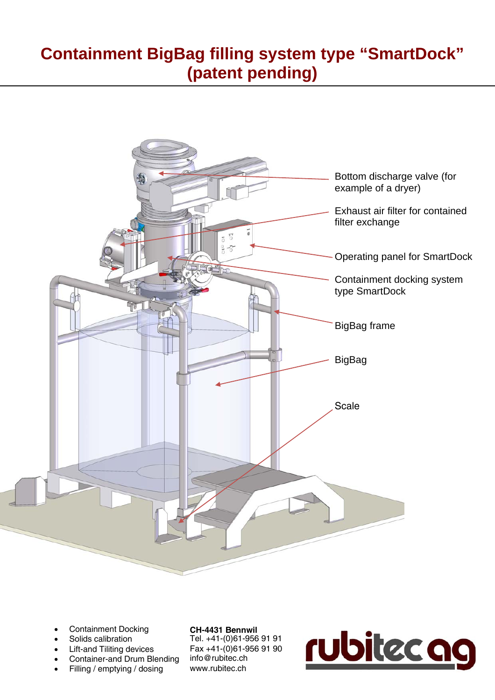## **Containment BigBag filling system type "SmartDock" (patent pending)**



- Containment Docking
- Solids calibration
- Lift-and Tiliting devices
- Container-and Drum Blending
- Filling / emptying / dosing

**CH-4431 Bennwil**  Tel. +41-(0)61-956 91 91 Fax +41-(0)61-956 91 90 info@rubitec.ch www.rubitec.ch

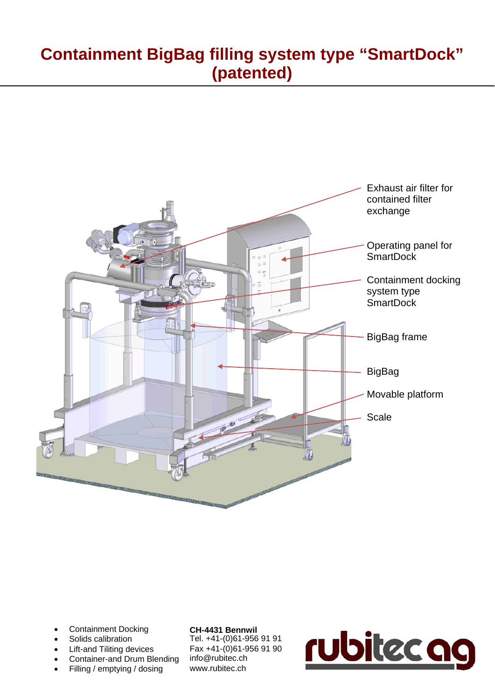## **Containment BigBag filling system type "SmartDock" (patented)**



- Containment Docking
- Solids calibration
- Lift-and Tiliting devices
- Container-and Drum Blending
- Filling / emptying / dosing

#### **CH-4431 Bennwil**

Tel. +41-(0)61-956 91 91 Fax +41-(0)61-956 91 90 info@rubitec.ch www.rubitec.ch